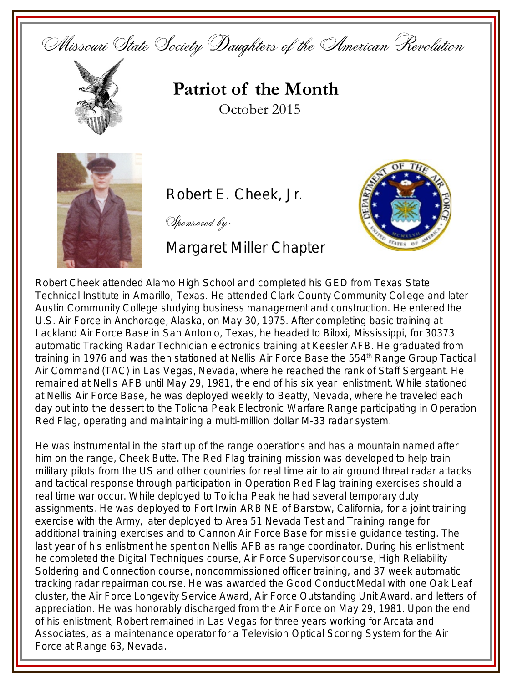Missouri State Society Daughters of the American Revolution



## **Patriot of the Month** October 2015



Robert E. Cheek, Jr.

Sponsored by:

Margaret Miller Chapter



Robert Cheek attended Alamo High School and completed his GED from Texas State Technical Institute in Amarillo, Texas. He attended Clark County Community College and later Austin Community College studying business management and construction. He entered the U.S. Air Force in Anchorage, Alaska, on May 30, 1975. After completing basic training at Lackland Air Force Base in San Antonio, Texas, he headed to Biloxi, Mississippi, for 30373 automatic Tracking Radar Technician electronics training at Keesler AFB. He graduated from training in 1976 and was then stationed at Nellis Air Force Base the 554<sup>th</sup> Range Group Tactical Air Command (TAC) in Las Vegas, Nevada, where he reached the rank of Staff Sergeant. He remained at Nellis AFB until May 29, 1981, the end of his six year enlistment. While stationed at Nellis Air Force Base, he was deployed weekly to Beatty, Nevada, where he traveled each day out into the dessert to the Tolicha Peak Electronic Warfare Range participating in Operation Red Flag, operating and maintaining a multi-million dollar M-33 radar system.

He was instrumental in the start up of the range operations and has a mountain named after him on the range, Cheek Butte. The Red Flag training mission was developed to help train military pilots from the US and other countries for real time air to air ground threat radar attacks and tactical response through participation in Operation Red Flag training exercises should a real time war occur. While deployed to Tolicha Peak he had several temporary duty assignments. He was deployed to Fort Irwin ARB NE of Barstow, California, for a joint training exercise with the Army, later deployed to Area 51 Nevada Test and Training range for additional training exercises and to Cannon Air Force Base for missile guidance testing. The last year of his enlistment he spent on Nellis AFB as range coordinator. During his enlistment he completed the Digital Techniques course, Air Force Supervisor course, High Reliability Soldering and Connection course, noncommissioned officer training, and 37 week automatic tracking radar repairman course. He was awarded the Good Conduct Medal with one Oak Leaf cluster, the Air Force Longevity Service Award, Air Force Outstanding Unit Award, and letters of appreciation. He was honorably discharged from the Air Force on May 29, 1981. Upon the end of his enlistment, Robert remained in Las Vegas for three years working for Arcata and Associates, as a maintenance operator for a Television Optical Scoring System for the Air Force at Range 63, Nevada.